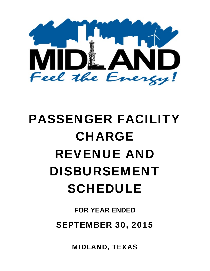

# PASSENGER FACILITY CHARGE REVENUE AND DISBURSEMENT SCHEDULE

## **FOR YEAR ENDED**  SEPTEMBER 30, 2015

MIDLAND, TEXAS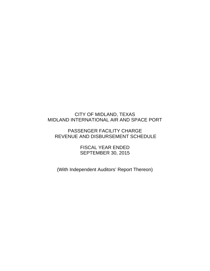## CITY OF MIDLAND, TEXAS MIDLAND INTERNATIONAL AIR AND SPACE PORT

## PASSENGER FACILITY CHARGE REVENUE AND DISBURSEMENT SCHEDULE

FISCAL YEAR ENDED SEPTEMBER 30, 2015

(With Independent Auditors' Report Thereon)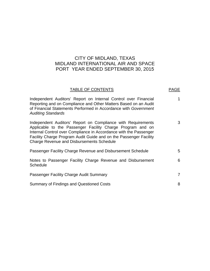## CITY OF MIDLAND, TEXAS MIDLAND INTERNATIONAL AIR AND SPACE PORT YEAR ENDED SEPTEMBER 30, 2015

## TABLE OF CONTENTS PAGE Independent Auditors' Report on Internal Control over Financial Reporting and on Compliance and Other Matters Based on an Audit of Financial Statements Performed in Accordance with *Government Auditing Standards*  1 Independent Auditors' Report on Compliance with Requirements Applicable to the Passenger Facility Charge Program and on Internal Control over Compliance in Accordance with the Passenger Facility Charge Program Audit Guide and on the Passenger Facility Charge Revenue and Disbursements Schedule 3 Passenger Facility Charge Revenue and Disbursement Schedule 5 Notes to Passenger Facility Charge Revenue and Disbursement **Schedule** 6 Passenger Facility Charge Audit Summary **7** and 12 and 13 and 13 and 13 and 13 and 13 and 13 and 13 and 13 and 13 and 13 and 13 and 13 and 13 and 13 and 13 and 13 and 13 and 13 and 13 and 13 and 13 and 13 and 13 and 13 and Summary of Findings and Questioned Costs **8** 8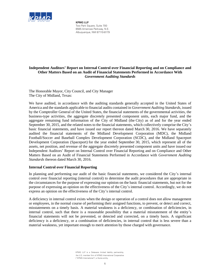

**KPMG LLP** Two Park Square, Suite 700 6565 Americas Parkway, N.E. Albuquerque, NM 87110-8179

#### **Independent Auditors' Report on Internal Control over Financial Reporting and on Compliance and Other Matters Based on an Audit of Financial Statements Performed in Accordance With**  *Government Auditing Standards*

The Honorable Mayor, City Council, and City Manager The City of Midland, Texas:

We have audited, in accordance with the auditing standards generally accepted in the United States of America and the standards applicable to financial audits contained in *Government Auditing Standards*, issued by the Comptroller General of the United States, the financial statements of the governmental activities, the business-type activities, the aggregate discretely presented component units, each major fund, and the aggregate remaining fund information of the City of Midland (the City) as of and for the year ended September 30, 2015, and the related notes to the financial statements, which collectively comprise the City's basic financial statements, and have issued our report thereon dated March 30, 2016. We have separately audited the financial statements of the Midland Development Corporation (MDC), the Midland Football/Soccer and Baseball Complex Development Corporation (SCDC), and the Midland Spaceport Development Corporation (Spaceport) for the year ended September 30, 2015, which represent all of the assets, net position, and revenue of the aggregate discretely presented component units and have issued our Independent Auditors' Report on Internal Control over Financial Reporting and on Compliance and Other Matters Based on an Audit of Financial Statements Performed in Accordance with *Government Auditing Standards* thereon dated March 30, 2016.

#### **Internal Control over Financial Reporting**

In planning and performing our audit of the basic financial statements, we considered the City's internal control over financial reporting (internal control) to determine the audit procedures that are appropriate in the circumstances for the purpose of expressing our opinion on the basic financial statements, but not for the purpose of expressing an opinion on the effectiveness of the City's internal control. Accordingly, we do not express an opinion on the effectiveness of the City's internal control.

A deficiency in internal control exists when the design or operation of a control does not allow management or employees, in the normal course of performing their assigned functions, to prevent, or detect and correct, misstatements on a timely basis. A material weakness is a deficiency, or combination of deficiencies, in internal control, such that there is a reasonable possibility that a material misstatement of the entity's financial statements will not be prevented, or detected and corrected, on a timely basis. A significant deficiency is a deficiency, or a combination of deficiencies, in internal control that is less severe than a material weakness, yet important enough to merit attention by those charged with governance.

> KPMG LLP is a Delaware limited liability partnership, the U.S. member firm of KPMG International Cooperative ("KPMG International"), a Swiss entity.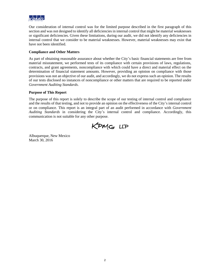

Our consideration of internal control was for the limited purpose described in the first paragraph of this section and was not designed to identify all deficiencies in internal control that might be material weaknesses or significant deficiencies. Given these limitations, during our audit, we did not identify any deficiencies in internal control that we consider to be material weaknesses. However, material weaknesses may exist that have not been identified.

#### **Compliance and Other Matters**

As part of obtaining reasonable assurance about whether the City's basic financial statements are free from material misstatement, we performed tests of its compliance with certain provisions of laws, regulations, contracts, and grant agreements, noncompliance with which could have a direct and material effect on the determination of financial statement amounts. However, providing an opinion on compliance with those provisions was not an objective of our audit, and accordingly, we do not express such an opinion. The results of our tests disclosed no instances of noncompliance or other matters that are required to be reported under *Government Auditing Standards*.

#### **Purpose of This Report**

The purpose of this report is solely to describe the scope of our testing of internal control and compliance and the results of that testing, and not to provide an opinion on the effectiveness of the City's internal control or on compliance. This report is an integral part of an audit performed in accordance with *Government Auditing Standards* in considering the City's internal control and compliance. Accordingly, this communication is not suitable for any other purpose.

KPMG LLP

Albuquerque, New Mexico March 30, 2016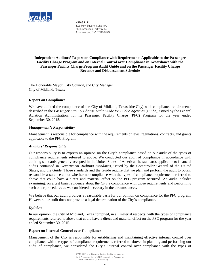

**KPMG LLP** Two Park Square, Suite 700 6565 Americas Parkway, N.E. Albuquerque, NM 87110-8179

**Independent Auditors' Report on Compliance with Requirements Applicable to the Passenger Facility Charge Program and on Internal Control over Compliance in Accordance with the Passenger Facility Charge Program Audit Guide and on the Passenger Facility Charge Revenue and Disbursement Schedule** 

The Honorable Mayor, City Council, and City Manager City of Midland, Texas:

#### **Report on Compliance**

We have audited the compliance of the City of Midland, Texas (the City) with compliance requirements described in the *Passenger Facility Charge Audit Guide for Public Agencies* (Guide), issued by the Federal Aviation Administration, for its Passenger Facility Charge (PFC) Program for the year ended September 30, 2015.

#### *Management's Responsibility*

Management is responsible for compliance with the requirements of laws, regulations, contracts, and grants applicable to the PFC Program.

#### *Auditors' Responsibility*

Our responsibility is to express an opinion on the City's compliance based on our audit of the types of compliance requirements referred to above. We conducted our audit of compliance in accordance with auditing standards generally accepted in the United States of America; the standards applicable to financial audits contained in *Government Auditing Standards*, issued by the Comptroller General of the United States; and the Guide. Those standards and the Guide require that we plan and perform the audit to obtain reasonable assurance about whether noncompliance with the types of compliance requirements referred to above that could have a direct and material effect on the PFC program occurred. An audit includes examining, on a test basis, evidence about the City's compliance with those requirements and performing such other procedures as we considered necessary in the circumstances.

We believe that our audit provides a reasonable basis for our opinion on compliance for the PFC program. However, our audit does not provide a legal determination of the City's compliance.

#### *Opinion*

In our opinion, the City of Midland, Texas complied, in all material respects, with the types of compliance requirements referred to above that could have a direct and material effect on the PFC program for the year ended September 30, 2015.

#### **Report on Internal Control over Compliance**

Management of the City is responsible for establishing and maintaining effective internal control over compliance with the types of compliance requirements referred to above. In planning and performing our audit of compliance, we considered the City's internal control over compliance with the types of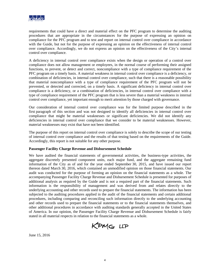

requirements that could have a direct and material effect on the PFC program to determine the auditing procedures that are appropriate in the circumstances for the purpose of expressing an opinion on compliance for the PFC program and to test and report on internal control over compliance in accordance with the Guide, but not for the purpose of expressing an opinion on the effectiveness of internal control over compliance. Accordingly, we do not express an opinion on the effectiveness of the City's internal control over compliance.

A deficiency in internal control over compliance exists when the design or operation of a control over compliance does not allow management or employees, in the normal course of performing their assigned functions, to prevent, or detect and correct, noncompliance with a type of compliance requirement of the PFC program on a timely basis. A material weakness in internal control over compliance is a deficiency, or combination of deficiencies, in internal control over compliance, such that there is a reasonable possibility that material noncompliance with a type of compliance requirement of the PFC program will not be prevented, or detected and corrected, on a timely basis. A significant deficiency in internal control over compliance is a deficiency, or a combination of deficiencies, in internal control over compliance with a type of compliance requirement of the PFC program that is less severe than a material weakness in internal control over compliance, yet important enough to merit attention by those charged with governance.

Our consideration of internal control over compliance was for the limited purpose described in the first paragraph of this section and was not designed to identify all deficiencies in internal control over compliance that might be material weaknesses or significant deficiencies. We did not identify any deficiencies in internal control over compliance that we consider to be material weaknesses. However, material weaknesses may exist that have not been identified.

The purpose of this report on internal control over compliance is solely to describe the scope of our testing of internal control over compliance and the results of that testing based on the requirements of the Guide. Accordingly, this report is not suitable for any other purpose.

#### **Passenger Facility Charge Revenue and Disbursement Schedule**

We have audited the financial statements of governmental activities, the business-type activities, the aggregate discretely presented component units, each major fund, and the aggregate remaining fund information of the City as of and for the year ended September 30, 2015, and have issued our report thereon dated March 30, 2016, which contained an unmodified opinion on those financial statements. Our audit was conducted for the purpose of forming an opinion on the financial statements as a whole. The accompanying Passenger Facility Charge Revenue and Disbursement Schedule is presented for purposes of additional analysis as required by the Guide and is not a required part of the financial statements. Such information is the responsibility of management and was derived from and relates directly to the underlying accounting and other records used to prepare the financial statements. The information has been subjected to the auditing procedures applied in the audit of the financial statements and certain additional procedures, including comparing and reconciling such information directly to the underlying accounting and other records used to prepare the financial statements or to the financial statements themselves, and other additional procedures in accordance with auditing standards generally accepted in the United States of America. In our opinion, the Passenger Facility Charge Revenue and Disbursement Schedule is fairly stated in all material respects in relation to the financial statements as a whole.

KPMG LLP

June 15, 2016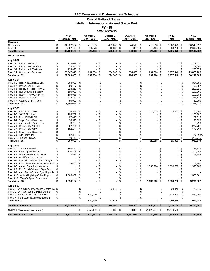#### **Midland International Air and Space Port City of Midland, Texas FY - 15**

|                                                   |    |                                      |                |                                | 10/1/14-9/30/15          |    |                                |                                 |                          |                              |    |                        |
|---------------------------------------------------|----|--------------------------------------|----------------|--------------------------------|--------------------------|----|--------------------------------|---------------------------------|--------------------------|------------------------------|----|------------------------|
|                                                   |    | <b>FY-14</b><br><b>Program Total</b> |                | Quarter 1<br>Oct. - Dec.       | Quarter 2<br>Jan. - Mar. |    | Quarter 3<br>Apr. - Jun.       | <b>Quarter 4</b><br>Jul. - Sep. |                          | <b>FY-15</b><br><b>Total</b> |    | FY-15<br>Program Total |
| Revenue                                           |    |                                      |                |                                |                          |    |                                |                                 |                          |                              |    |                        |
| Collections                                       | \$ | 34,582,974 \$                        |                | 412,035                        | 495,260 \$               |    | 644,518 \$                     | 410,610 \$                      |                          | 1,962,423 \$                 |    | 36,545,397             |
| Interest                                          | \$ | 2,567,199                            | -\$            | 11,373                         | 10,282 \$                |    | $(825)$ \$                     | 12,426 \$                       |                          | 33,256 \$                    |    | 2,600,455              |
| <b>Total Revenue</b>                              | \$ | 37,150,173 \$                        |                | 423,408 \$                     | 505,542 \$               |    | $643,693$ \$                   | 423,036 \$                      |                          | $1,995,679$ \$               |    | 39,145,852             |
| Disbursements                                     |    |                                      |                |                                |                          |    |                                |                                 |                          |                              |    |                        |
| App 94-02                                         |    |                                      |                |                                |                          |    |                                |                                 |                          |                              |    |                        |
| Proj. 2-1 - Rehab. RW 4-22                        | \$ | 119,012 \$                           |                | \$                             |                          | \$ | \$                             |                                 |                          | \$<br>\$                     |    | 119,012                |
| Proj. 2-2 - Rehab. RW 16L-34R                     | \$ | 79,340                               | \$             | \$                             | $\blacksquare$           | \$ | \$<br>$\overline{a}$           |                                 | $\overline{\phantom{a}}$ | \$<br>\$<br>$\blacksquare$   |    | 79,340                 |
| Proj. 2-3 - Rehab. Airf. Taxiways                 | \$ | 223,673                              | -\$            | \$<br>$\overline{\phantom{a}}$ | $\sim$                   | \$ | \$<br>$\overline{\phantom{a}}$ |                                 | $\blacksquare$           | \$<br>\$<br>$\blacksquare$   |    | 223,673                |
| Proj. 2-4 - Const. New Terminal                   | \$ | 28,647,840                           | \$             | \$<br>294,360                  | 294,360                  | \$ | 294,360<br>\$                  | 294,360                         |                          | \$<br>1,177,440 \$           |    | 29,825,280             |
| Total App - 02                                    | \$ | 29,069,865 \$                        |                | 294,360 \$                     | 294,360 \$               |    | 294,360 \$                     | $294,360$ \$                    |                          | 1,177,440 \$                 |    | 30,247,305             |
| App 01-04                                         |    |                                      |                |                                |                          |    |                                |                                 |                          |                              |    |                        |
| Proj. 4-1 - Recon. N. Apron & Drn.                | \$ | 364,099                              | \$             | \$                             |                          | \$ |                                | \$                              |                          | \$                           | \$ | 364,099                |
| Proj. 4-2 - Rehab. RW & Txwy.                     | \$ | 60,187                               | \$             | \$                             |                          | Ŝ  |                                | \$                              |                          | \$                           | \$ | 60,187                 |
| Proj. 4-3 - Reloc. & Recon Txwy. Z                | \$ | 213,215                              | \$             | \$                             |                          | S  |                                | \$                              |                          | \$                           | \$ | 213,215                |
| Proj. 4-4 - Replace ARFF Facility                 | \$ | 190,000                              | \$             | \$                             |                          | S  |                                | \$                              |                          | \$                           | \$ | 190,000                |
| Proj. 4-5 - Recon. Txwy C,H,P Intr.               | \$ | 109,988                              | \$             | \$                             |                          | \$ |                                | \$                              |                          | \$                           | \$ | 109,988                |
| Proj. 4-6 - Recon. S. Apron                       | \$ | 378,432                              | \$             | \$                             |                          | \$ |                                | \$                              | ÷.                       | \$<br>$\blacksquare$         | \$ | 378,432                |
| Proj. 4-7 - Acquire 2 ARFF Veh.                   | \$ | 80,000                               | \$             | \$                             |                          |    |                                | \$                              |                          |                              | S  | 80,000                 |
| Total App - 04                                    | \$ | 1,395,921                            | \$             | \$                             |                          | Ŝ  |                                | \$                              |                          | \$                           | \$ | 1,395,921              |
| App 07-05                                         |    |                                      |                |                                |                          |    |                                |                                 |                          |                              |    |                        |
| Proj. 5-1 - PFC Admin. Fee                        | \$ | 24,947 \$                            |                | \$                             |                          | \$ | \$                             | 25,053 \$                       |                          | 25,053 \$                    |    | 50,000                 |
| Proj. 5-2 - 10/28 Shoulder                        | \$ | 108,702 \$                           |                | \$                             |                          | \$ | \$                             |                                 |                          | \$<br>\$<br>÷.               |    | 108,702                |
| Proj. 5-3 - Repl. FIDS/BIDS                       | \$ | 27,815                               | $$\mathbb{S}$$ | \$                             | £.                       |    | \$                             |                                 |                          | \$<br>\$<br>÷.               |    | 27,815                 |
| Proj. 5-4 - Swpr. Snow Rem. Veh.                  | \$ | 36,596 \$                            |                | \$                             |                          |    | \$                             |                                 | ä,                       | \$<br>\$<br>÷.               |    | 36,596                 |
| Proj. 5-5 - Airp. Master Drng. Plan               | S  | 3,750                                | \$             | \$                             |                          | £. | S                              |                                 |                          | \$<br>\$<br>$\overline{a}$   |    | 3,750                  |
| Proj. 5-6 - Rehab. RW 16R/34L                     | \$ | 227,731                              | \$             | \$                             |                          | £. | Ŝ                              |                                 |                          | \$<br>\$                     |    | 227,731                |
| Proj. 5-7 - Rehab. RW 10/28                       | S  | 184,490                              | \$             |                                |                          | \$ | Ŝ                              |                                 |                          | \$<br>\$                     |    | 184,490                |
| Proj. 5-8 - Swpr. Snow Rem. Eq.                   | \$ |                                      | \$             | \$                             |                          | \$ | Ŝ                              |                                 |                          | \$<br>\$<br>$\blacksquare$   |    |                        |
| Proj. 5-9 - Airf. Light/Sign                      | \$ | 82,320                               | \$             | \$                             |                          | \$ | \$<br>$\blacksquare$           |                                 |                          | \$<br>\$<br>$\blacksquare$   |    | 82,3200                |
| Proj. 5-10 - Rehab. Txwys.                        | \$ | 210,745                              | \$             | \$                             |                          | £. | \$                             |                                 |                          | \$<br>\$                     |    | 210,745                |
| Total App - 05                                    | \$ | 907,096                              | -\$            | \$                             |                          | \$ | \$<br>÷,                       | 25,053                          |                          | \$<br>$25,053$ \$            |    | 932,149                |
| App 12-06                                         |    |                                      |                |                                |                          |    |                                |                                 |                          |                              |    |                        |
| Proj. 6-1 - Terminal Rehab.                       | \$ | 186,637                              | \$             | \$                             |                          | \$ | \$                             |                                 |                          | \$<br>\$                     |    | 186,637                |
| Proj. 6-2 - Exec. Apron Recon.                    | \$ | 310,103                              | \$             | \$                             |                          | \$ | \$                             |                                 |                          | \$<br>\$                     |    | 310,103                |
| Proj. 6-3 - NW Taxilane, Emer Rdwy.               | \$ | 73,586                               | \$             | \$                             |                          | \$ | \$<br>$\blacksquare$           |                                 |                          | \$<br>\$                     |    | 73,586                 |
| Proj. 6-4 - Wildlife Hazard Asses.                | S  |                                      | \$             | \$                             |                          | \$ | \$                             |                                 |                          | \$<br>\$                     |    |                        |
| Proj. 6-5 - RW 4/22 16R/34L Reh. Design           | \$ |                                      | \$             | \$                             | £.                       |    | \$                             |                                 |                          | \$<br>\$                     |    |                        |
| Proj. 6-6 - Emer. Perimeter Rdwy, Gate Reh        | \$ | 19,500                               | \$             | \$                             |                          | \$ | \$                             |                                 |                          | \$<br>\$<br>$\blacksquare$   |    | 19,500                 |
| Proj. 6-7 - Airport Drng. Improvements            | \$ |                                      | 9              |                                |                          | £. | \$                             | 1,330,700                       |                          | \$<br>1,330,700<br>\$        |    | 1,330,700              |
| Proj. 6-8 - Ent. Road Guidance Sign Reh.          | \$ |                                      | 9              | \$                             |                          | \$ | \$                             |                                 |                          | \$<br>\$                     |    |                        |
| Proj. 6-9 - Airp. Radio Comm. Sys. Upgrade        | \$ |                                      | \$             | \$                             |                          | \$ | \$<br>$\overline{a}$           |                                 |                          | \$<br>\$                     |    |                        |
| Proj. 6-10 - Airfield Lighting Cable Repl.        | \$ | 1,366,361                            | \$             | \$                             |                          | \$ | \$                             |                                 |                          | \$<br>\$                     |    | 1,366,361              |
| Proj. 6-11 - Txwy V Apron Expansion               | \$ |                                      |                | \$                             |                          |    | Ŝ                              |                                 |                          | \$<br>\$                     |    |                        |
| Total App - 06                                    | \$ | $1,956,187$ \$                       |                | \$<br>$\overline{\phantom{0}}$ | $\blacksquare$           | \$ | \$<br>$\overline{\phantom{0}}$ | 1,330,700                       |                          | \$<br>1,330,700<br>\$        |    | 3,286,887              |
| App 14-07                                         |    |                                      |                |                                |                          |    |                                |                                 |                          |                              |    |                        |
| Proj 7-1 - Airfield Security Access Control Sy \$ |    |                                      | \$             | \$                             | 23,845                   | \$ |                                | \$                              |                          | \$<br>23,845                 | \$ | 23,845                 |
| Proj 7-2 - Aircraft Ramp Lighting System          | \$ |                                      | \$             | \$                             |                          | S  |                                | \$                              |                          | \$                           | \$ |                        |
| Proj 7-3 - Construct RW 16R Run-Up                | \$ |                                      | \$             | 879,200<br>\$                  |                          | \$ |                                | \$                              |                          | \$<br>879,200                | \$ | 879,200                |
| Proj 7-4 - Northwest Taxilane Extension           | \$ |                                      | \$             |                                |                          |    |                                | \$                              |                          | \$                           |    |                        |
| Total App - 07                                    |    |                                      |                | 879,200                        | 23,845                   |    |                                |                                 |                          | 903,045                      |    | 903,045                |
| <b>Total Disbursements</b>                        | \$ | 33,329,069                           | $\sqrt[6]{3}$  | 1,173,560 \$                   | 318,205 \$               |    | 294,360 \$                     | 1,650,113 \$                    |                          | 3,436,238 \$                 |    | 36,765,307             |
| Net PFC Revenue (rev. - disb.)                    |    |                                      | \$             | $(750, 152)$ \$                | 187,337 \$               |    | 349,333 \$                     | $(1,227,077)$ \$                |                          | (1,440,559)                  |    |                        |
| <b>PFC Account Balance</b>                        | \$ | 3,821,104 \$                         |                | 3,070,952 \$                   | 3,258,289 \$             |    | 3,607,622 \$                   | 2,380,545 \$                    |                          | 2,380,545 \$                 |    | 2,380,545              |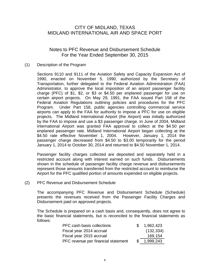### CITY OF MIDLAND, TEXAS MIDLAND INTERNATIONAL AIR AND SPACE PORT

### Notes to PFC Revenue and Disbursement Schedule For the Year Ended September 30, 2015

#### (1) Description of the Program

Sections 9110 and 9111 of the Aviation Safety and Capacity Expansion Act of 1990, enacted on November 5, 1990, authorized by the Secretary of Transportation, further delegated to the Federal Aviation Administration (FAA) Administrator, to approve the local imposition of an airport passenger facility charge (PFC) of \$1, \$2, or \$3 or \$4.50 per enplaned passenger for use on certain airport projects. On May 29, 1991, the FAA issued Part 158 of the Federal Aviation Regulations outlining policies and procedures for the PFC Program. Under Part 158, public agencies controlling commercial service airports can apply to the FAA for authority to impose a PFC for use on eligible projects. The Midland International Airport (the Airport) was initially authorized by the FAA to impose and use a \$3 passenger charge. In June of 2004, Midland International Airport was granted FAA approval to collect at the \$4.50 per enplaned passenger rate. Midland International Airport began collecting at the \$4.50 rate effective November 1, 2004. However, January 1, 2014 the passenger charge decreased from \$4.50 to \$3.00 temporarily for the period January 1, 2014 to October 30, 2014 and returned to \$4.50 November 1, 2014.

Passenger facility charges collected are deposited and separately held in a restricted account along with interest earned on such funds. Disbursements shown in the schedule of passenger facility charge revenue and disbursements represent those amounts transferred from the restricted account to reimburse the Airport for the PFC qualified portion of amounts expended on eligible projects.

#### (2) PFC Revenue and Disbursement Schedule

The accompanying PFC Revenue and Disbursement Schedule (Schedule) presents the revenues received from the Passenger Facility Charges and Disbursement paid on approved projects.

The Schedule is prepared on a cash basis and, consequently, does not agree to the basic financial statements, but is reconciled to the financial statements as follows:

| PFC cash basis collections          | 1,962,423  |
|-------------------------------------|------------|
| Fiscal year 2014 accrual            | (132, 334) |
| Fiscal year 2015 accrual            | 169,154    |
| PFC revenue per financial statement | 1.999.243  |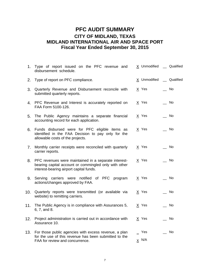## **PFC AUDIT SUMMARY CITY OF MIDLAND, TEXAS MIDLAND INTERNATIONAL AIR AND SPACE PORT Fiscal Year Ended September 30, 2015**

|     | 1. Type of report issued on the PFC revenue and<br>disbursement schedule.                                                                                |                | X Unmodified __ Qualified |
|-----|----------------------------------------------------------------------------------------------------------------------------------------------------------|----------------|---------------------------|
| 2.  | Type of report on PFC compliance.                                                                                                                        |                | X Unmodified _ Qualified  |
| 3.  | Quarterly Revenue and Disbursement reconcile with<br>submitted quarterly reports.                                                                        | X Yes          | No                        |
| 4.  | PFC Revenue and Interest is accurately reported on<br>FAA Form 5100-126.                                                                                 | X Yes          | No                        |
| 5.  | The Public Agency maintains a separate financial<br>accounting record for each application.                                                              | X Yes          | No                        |
| 6.  | Funds disbursed were for PFC eligible items as<br>identified in the FAA Decision to pay only for the<br>allowable costs of the projects.                 | X Yes          | No                        |
| 7.  | Monthly carrier receipts were reconciled with quarterly<br>carrier reports.                                                                              | X Yes          | No                        |
| 8.  | PFC revenues were maintained in a separate interest-<br>bearing capital account or commingled only with other<br>interest-bearing airport capital funds. | X Yes          | No                        |
| 9.  | Serving carriers were notified of PFC program<br>actions/changes approved by FAA.                                                                        | X Yes          | No                        |
| 10. | Quarterly reports were transmitted (or available via<br>website) to remitting carriers.                                                                  | $X$ Yes        | No                        |
| 11. | The Public Agency is in compliance with Assurances 5,<br>6, 7, and 8.                                                                                    | X Yes          | No                        |
| 12. | Project administration is carried out in accordance with<br>Assurance 10.                                                                                | X Yes          | No                        |
| 13. | For those public agencies with excess revenue, a plan<br>for the use of this revenue has been submitted to the<br>FAA for review and concurrence.        | Yes<br>$X$ N/A | No                        |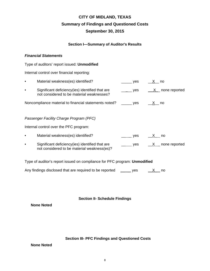## **CITY OF MIDLAND, TEXAS Summary of Findings and Questioned Costs September 30, 2015**

#### **Section I—Summary of Auditor's Results**

#### *Financial Statements*

Type of auditors' report issued: **Unmodified**

Internal control over financial reporting:

|                                                                           | Material weakness(es) identified?                                                               | yes        | X no                     |  |  |  |  |
|---------------------------------------------------------------------------|-------------------------------------------------------------------------------------------------|------------|--------------------------|--|--|--|--|
|                                                                           | Significant deficiency (ies) identified that are<br>not considered to be material weaknesses?   | yes        | X none reported          |  |  |  |  |
|                                                                           | Noncompliance material to financial statements noted?                                           | yes        | x no                     |  |  |  |  |
| Passenger Facility Charge Program (PFC)                                   |                                                                                                 |            |                          |  |  |  |  |
|                                                                           | Internal control over the PFC program:                                                          |            |                          |  |  |  |  |
|                                                                           | Material weakness(es) identified?                                                               | <b>ves</b> | no                       |  |  |  |  |
|                                                                           | Significant deficiency (ies) identified that are<br>not considered to be material weakness(es)? | yes        | none reported<br>$X_{-}$ |  |  |  |  |
| Type of auditor's report issued on compliance for PFC program: Unmodified |                                                                                                 |            |                          |  |  |  |  |

Any findings disclosed that are required to be reported  $\frac{\ }{\ }$  yes  $\frac{X}{X}$  no

**Section II- Schedule Findings** 

**None Noted**

 **Section III- PFC Findings and Questioned Costs** 

**None Noted**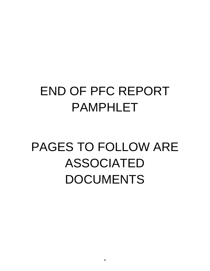## END OF PFC REPORT PAMPHLET

## PAGES TO FOLLOW ARE ASSOCIATED DOCUMENTS